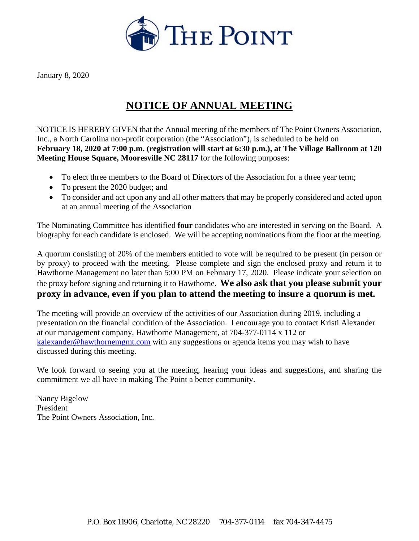

January 8, 2020

## **NOTICE OF ANNUAL MEETING**

NOTICE IS HEREBY GIVEN that the Annual meeting of the members of The Point Owners Association, Inc., a North Carolina non-profit corporation (the "Association"), is scheduled to be held on **February 18, 2020 at 7:00 p.m. (registration will start at 6:30 p.m.), at The Village Ballroom at 120 Meeting House Square, Mooresville NC 28117** for the following purposes:

- To elect three members to the Board of Directors of the Association for a three year term;
- To present the 2020 budget; and
- To consider and act upon any and all other matters that may be properly considered and acted upon at an annual meeting of the Association

The Nominating Committee has identified **four** candidates who are interested in serving on the Board. A biography for each candidate is enclosed. We will be accepting nominations from the floor at the meeting.

A quorum consisting of 20% of the members entitled to vote will be required to be present (in person or by proxy) to proceed with the meeting. Please complete and sign the enclosed proxy and return it to Hawthorne Management no later than 5:00 PM on February 17, 2020. Please indicate your selection on the proxy before signing and returning it to Hawthorne. **We also ask that you please submit your proxy in advance, even if you plan to attend the meeting to insure a quorum is met.** 

The meeting will provide an overview of the activities of our Association during 2019, including a presentation on the financial condition of the Association. I encourage you to contact Kristi Alexander at our management company, Hawthorne Management, at 704-377-0114 x 112 or [kalexander@hawthornemgmt.com](mailto:kalexander@hawthornemgmt.com) with any suggestions or agenda items you may wish to have discussed during this meeting.

We look forward to seeing you at the meeting, hearing your ideas and suggestions, and sharing the commitment we all have in making The Point a better community.

Nancy Bigelow President The Point Owners Association, Inc.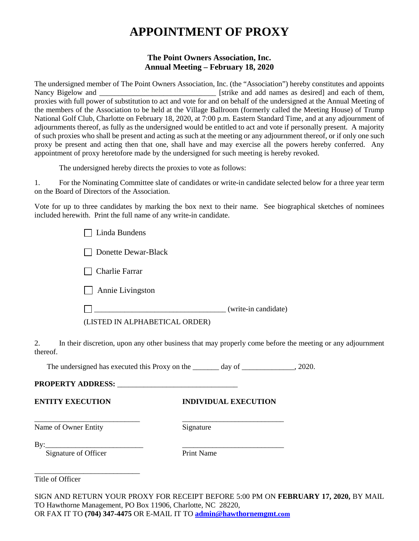# **APPOINTMENT OF PROXY**

### **The Point Owners Association, Inc. Annual Meeting – February 18, 2020**

The undersigned member of The Point Owners Association, Inc. (the "Association") hereby constitutes and appoints Nancy Bigelow and \_\_\_\_\_\_\_\_\_\_\_\_\_\_\_\_\_\_\_\_\_\_\_\_\_\_\_\_\_\_\_ [strike and add names as desired] and each of them, proxies with full power of substitution to act and vote for and on behalf of the undersigned at the Annual Meeting of the members of the Association to be held at the Village Ballroom (formerly called the Meeting House) of Trump National Golf Club, Charlotte on February 18, 2020, at 7:00 p.m. Eastern Standard Time, and at any adjournment of adjournments thereof, as fully as the undersigned would be entitled to act and vote if personally present. A majority of such proxies who shall be present and acting as such at the meeting or any adjournment thereof, or if only one such proxy be present and acting then that one, shall have and may exercise all the powers hereby conferred. Any appointment of proxy heretofore made by the undersigned for such meeting is hereby revoked.

The undersigned hereby directs the proxies to vote as follows:

1. For the Nominating Committee slate of candidates or write-in candidate selected below for a three year term on the Board of Directors of the Association.

Vote for up to three candidates by marking the box next to their name. See biographical sketches of nominees included herewith. Print the full name of any write-in candidate.

| Linda Bundens                  |                      |
|--------------------------------|----------------------|
| Donette Dewar-Black            |                      |
| Charlie Farrar                 |                      |
| Annie Livingston               |                      |
|                                | (write-in candidate) |
| (LISTED IN ALPHABETICAL ORDER) |                      |
|                                |                      |

2. In their discretion, upon any other business that may properly come before the meeting or any adjournment thereof.

The undersigned has executed this Proxy on the \_\_\_\_\_\_\_ day of \_\_\_\_\_\_\_\_\_\_\_\_, 2020.

\_\_\_\_\_\_\_\_\_\_\_\_\_\_\_\_\_\_\_\_\_\_\_\_\_\_\_\_ \_\_\_\_\_\_\_\_\_\_\_\_\_\_\_\_\_\_\_\_\_\_\_\_\_\_\_

**PROPERTY ADDRESS:** \_\_\_\_\_\_\_\_\_\_\_\_\_\_\_\_\_\_\_\_\_\_\_\_\_\_\_\_\_\_\_\_

**ENTITY EXECUTION INDIVIDUAL EXECUTION**

Name of Owner Entity Signature

By:\_\_\_\_\_\_\_\_\_\_\_\_\_\_\_\_\_\_\_\_\_\_\_\_\_\_ \_\_\_\_\_\_\_\_\_\_\_\_\_\_\_\_\_\_\_\_\_\_\_\_\_\_\_

Signature of Officer Print Name

\_\_\_\_\_\_\_\_\_\_\_\_\_\_\_\_\_\_\_\_\_\_\_\_\_\_\_\_

Title of Officer

SIGN AND RETURN YOUR PROXY FOR RECEIPT BEFORE 5:00 PM ON **FEBRUARY 17, 2020,** BY MAIL TO Hawthorne Management, PO Box 11906, Charlotte, NC 28220, OR FAX IT TO **(704) 347-4475** OR E-MAIL IT TO **[admin@hawthornemgmt.com](mailto:admin@hawthornemgmt.com)**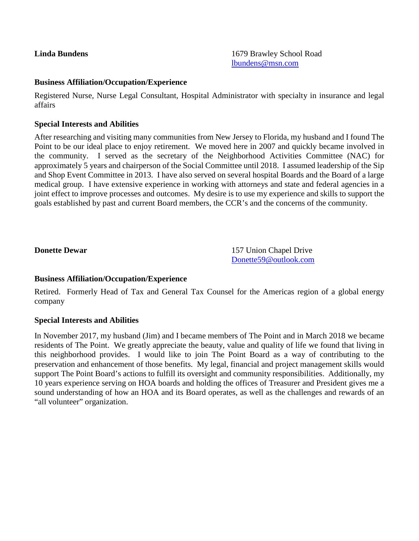**Linda Bundens** 1679 Brawley School Road [lbundens@msn.com](mailto:lbundens@msn.com)

#### **Business Affiliation/Occupation/Experience**

Registered Nurse, Nurse Legal Consultant, Hospital Administrator with specialty in insurance and legal affairs

#### **Special Interests and Abilities**

After researching and visiting many communities from New Jersey to Florida, my husband and I found The Point to be our ideal place to enjoy retirement. We moved here in 2007 and quickly became involved in the community. I served as the secretary of the Neighborhood Activities Committee (NAC) for approximately 5 years and chairperson of the Social Committee until 2018. I assumed leadership of the Sip and Shop Event Committee in 2013. I have also served on several hospital Boards and the Board of a large medical group. I have extensive experience in working with attorneys and state and federal agencies in a joint effect to improve processes and outcomes. My desire is to use my experience and skills to support the goals established by past and current Board members, the CCR's and the concerns of the community.

**Donette Dewar** 157 Union Chapel Drive [Donette59@outlook.com](mailto:Donette59@outlook.com)

### **Business Affiliation/Occupation/Experience**

Retired. Formerly Head of Tax and General Tax Counsel for the Americas region of a global energy company

### **Special Interests and Abilities**

In November 2017, my husband (Jim) and I became members of The Point and in March 2018 we became residents of The Point. We greatly appreciate the beauty, value and quality of life we found that living in this neighborhood provides. I would like to join The Point Board as a way of contributing to the preservation and enhancement of those benefits. My legal, financial and project management skills would support The Point Board's actions to fulfill its oversight and community responsibilities. Additionally, my 10 years experience serving on HOA boards and holding the offices of Treasurer and President gives me a sound understanding of how an HOA and its Board operates, as well as the challenges and rewards of an "all volunteer" organization.